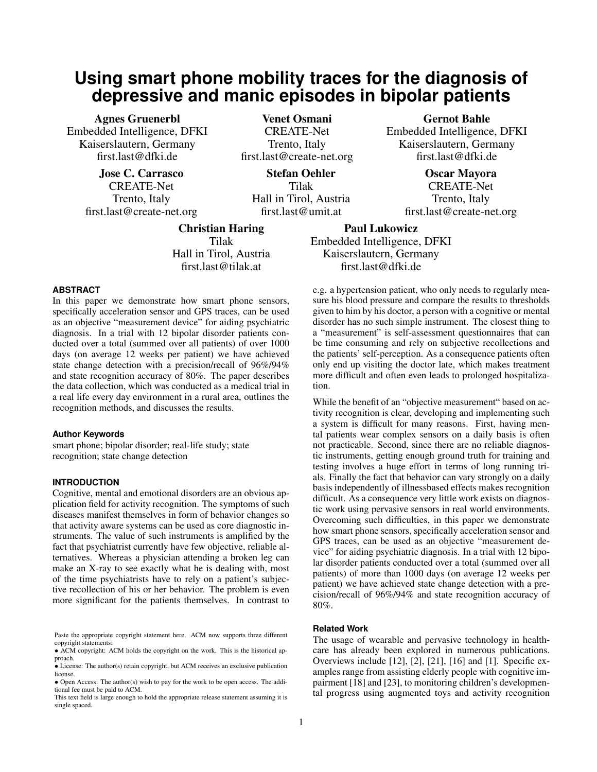# **Using smart phone mobility traces for the diagnosis of depressive and manic episodes in bipolar patients**

Agnes Gruenerbl Embedded Intelligence, DFKI Kaiserslautern, Germany first.last@dfki.de

> Jose C. Carrasco CREATE-Net Trento, Italy first.last@create-net.org

Venet Osmani CREATE-Net Trento, Italy first.last@create-net.org

Stefan Oehler Tilak Hall in Tirol, Austria first.last@umit.at

Gernot Bahle Embedded Intelligence, DFKI Kaiserslautern, Germany first.last@dfki.de

> Oscar Mayora CREATE-Net Trento, Italy first.last@create-net.org

Paul Lukowicz Embedded Intelligence, DFKI Kaiserslautern, Germany first.last@dfki.de

## **ABSTRACT**

In this paper we demonstrate how smart phone sensors, specifically acceleration sensor and GPS traces, can be used as an objective "measurement device" for aiding psychiatric diagnosis. In a trial with 12 bipolar disorder patients conducted over a total (summed over all patients) of over 1000 days (on average 12 weeks per patient) we have achieved state change detection with a precision/recall of 96%/94% and state recognition accuracy of 80%. The paper describes the data collection, which was conducted as a medical trial in a real life every day environment in a rural area, outlines the recognition methods, and discusses the results.

Christian Haring Tilak Hall in Tirol, Austria first.last@tilak.at

#### **Author Keywords**

smart phone; bipolar disorder; real-life study; state recognition; state change detection

# **INTRODUCTION**

Cognitive, mental and emotional disorders are an obvious application field for activity recognition. The symptoms of such diseases manifest themselves in form of behavior changes so that activity aware systems can be used as core diagnostic instruments. The value of such instruments is amplified by the fact that psychiatrist currently have few objective, reliable alternatives. Whereas a physician attending a broken leg can make an X-ray to see exactly what he is dealing with, most of the time psychiatrists have to rely on a patient's subjective recollection of his or her behavior. The problem is even more significant for the patients themselves. In contrast to

e.g. a hypertension patient, who only needs to regularly measure his blood pressure and compare the results to thresholds given to him by his doctor, a person with a cognitive or mental disorder has no such simple instrument. The closest thing to a "measurement" is self-assessment questionnaires that can be time consuming and rely on subjective recollections and the patients' self-perception. As a consequence patients often only end up visiting the doctor late, which makes treatment more difficult and often even leads to prolonged hospitalization.

While the benefit of an "objective measurement" based on activity recognition is clear, developing and implementing such a system is difficult for many reasons. First, having mental patients wear complex sensors on a daily basis is often not practicable. Second, since there are no reliable diagnostic instruments, getting enough ground truth for training and testing involves a huge effort in terms of long running trials. Finally the fact that behavior can vary strongly on a daily basis independently of illnessbased effects makes recognition difficult. As a consequence very little work exists on diagnostic work using pervasive sensors in real world environments. Overcoming such difficulties, in this paper we demonstrate how smart phone sensors, specifically acceleration sensor and GPS traces, can be used as an objective "measurement device" for aiding psychiatric diagnosis. In a trial with 12 bipolar disorder patients conducted over a total (summed over all patients) of more than 1000 days (on average 12 weeks per patient) we have achieved state change detection with a precision/recall of 96%/94% and state recognition accuracy of 80%.

# **Related Work**

The usage of wearable and pervasive technology in healthcare has already been explored in numerous publications. Overviews include [\[12\]](#page-7-0), [\[2\]](#page-7-1), [\[21\]](#page-7-2), [\[16\]](#page-7-3) and [\[1\]](#page-7-4). Specific examples range from assisting elderly people with cognitive impairment [\[18\]](#page-7-5) and [\[23\]](#page-7-6), to monitoring children's developmental progress using augmented toys and activity recognition

Paste the appropriate copyright statement here. ACM now supports three different copyright statements:

<sup>•</sup> ACM copyright: ACM holds the copyright on the work. This is the historical approach.

<sup>•</sup> License: The author(s) retain copyright, but ACM receives an exclusive publication license.

<sup>•</sup> Open Access: The author(s) wish to pay for the work to be open access. The additional fee must be paid to ACM.

This text field is large enough to hold the appropriate release statement assuming it is single spaced.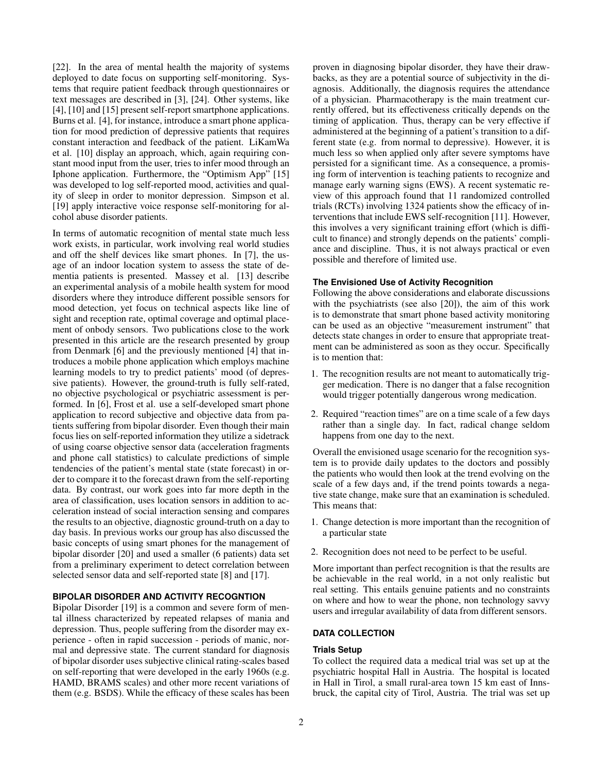[\[22\]](#page-7-7). In the area of mental health the majority of systems deployed to date focus on supporting self-monitoring. Systems that require patient feedback through questionnaires or text messages are described in [\[3\]](#page-7-8), [\[24\]](#page-7-9). Other systems, like [\[4\]](#page-7-10), [\[10\]](#page-7-11) and [\[15\]](#page-7-12) present self-report smartphone applications. Burns et al. [\[4\]](#page-7-10), for instance, introduce a smart phone application for mood prediction of depressive patients that requires constant interaction and feedback of the patient. LiKamWa et al. [\[10\]](#page-7-11) display an approach, which, again requiring constant mood input from the user, tries to infer mood through an Iphone application. Furthermore, the "Optimism App" [\[15\]](#page-7-12) was developed to log self-reported mood, activities and quality of sleep in order to monitor depression. Simpson et al. [\[19\]](#page-7-13) apply interactive voice response self-monitoring for alcohol abuse disorder patients.

In terms of automatic recognition of mental state much less work exists, in particular, work involving real world studies and off the shelf devices like smart phones. In [\[7\]](#page-7-14), the usage of an indoor location system to assess the state of dementia patients is presented. Massey et al. [\[13\]](#page-7-15) describe an experimental analysis of a mobile health system for mood disorders where they introduce different possible sensors for mood detection, yet focus on technical aspects like line of sight and reception rate, optimal coverage and optimal placement of onbody sensors. Two publications close to the work presented in this article are the research presented by group from Denmark [\[6\]](#page-7-16) and the previously mentioned [\[4\]](#page-7-10) that introduces a mobile phone application which employs machine learning models to try to predict patients' mood (of depressive patients). However, the ground-truth is fully self-rated, no objective psychological or psychiatric assessment is performed. In [\[6\]](#page-7-16), Frost et al. use a self-developed smart phone application to record subjective and objective data from patients suffering from bipolar disorder. Even though their main focus lies on self-reported information they utilize a sidetrack of using coarse objective sensor data (acceleration fragments and phone call statistics) to calculate predictions of simple tendencies of the patient's mental state (state forecast) in order to compare it to the forecast drawn from the self-reporting data. By contrast, our work goes into far more depth in the area of classification, uses location sensors in addition to acceleration instead of social interaction sensing and compares the results to an objective, diagnostic ground-truth on a day to day basis. In previous works our group has also discussed the basic concepts of using smart phones for the management of bipolar disorder [\[20\]](#page-7-17) and used a smaller (6 patients) data set from a preliminary experiment to detect correlation between selected sensor data and self-reported state [\[8\]](#page-7-18) and [\[17\]](#page-7-19).

# **BIPOLAR DISORDER AND ACTIVITY RECOGNTION**

Bipolar Disorder [\[19\]](#page-7-13) is a common and severe form of mental illness characterized by repeated relapses of mania and depression. Thus, people suffering from the disorder may experience - often in rapid succession - periods of manic, normal and depressive state. The current standard for diagnosis of bipolar disorder uses subjective clinical rating-scales based on self-reporting that were developed in the early 1960s (e.g. HAMD, BRAMS scales) and other more recent variations of them (e.g. BSDS). While the efficacy of these scales has been

proven in diagnosing bipolar disorder, they have their drawbacks, as they are a potential source of subjectivity in the diagnosis. Additionally, the diagnosis requires the attendance of a physician. Pharmacotherapy is the main treatment currently offered, but its effectiveness critically depends on the timing of application. Thus, therapy can be very effective if administered at the beginning of a patient's transition to a different state (e.g. from normal to depressive). However, it is much less so when applied only after severe symptoms have persisted for a significant time. As a consequence, a promising form of intervention is teaching patients to recognize and manage early warning signs (EWS). A recent systematic review of this approach found that 11 randomized controlled trials (RCTs) involving 1324 patients show the efficacy of interventions that include EWS self-recognition [\[11\]](#page-7-20). However, this involves a very significant training effort (which is difficult to finance) and strongly depends on the patients' compliance and discipline. Thus, it is not always practical or even possible and therefore of limited use.

#### **The Envisioned Use of Activity Recognition**

Following the above considerations and elaborate discussions with the psychiatrists (see also [\[20\]](#page-7-17)), the aim of this work is to demonstrate that smart phone based activity monitoring can be used as an objective "measurement instrument" that detects state changes in order to ensure that appropriate treatment can be administered as soon as they occur. Specifically is to mention that:

- 1. The recognition results are not meant to automatically trigger medication. There is no danger that a false recognition would trigger potentially dangerous wrong medication.
- 2. Required "reaction times" are on a time scale of a few days rather than a single day. In fact, radical change seldom happens from one day to the next.

Overall the envisioned usage scenario for the recognition system is to provide daily updates to the doctors and possibly the patients who would then look at the trend evolving on the scale of a few days and, if the trend points towards a negative state change, make sure that an examination is scheduled. This means that:

- 1. Change detection is more important than the recognition of a particular state
- 2. Recognition does not need to be perfect to be useful.

More important than perfect recognition is that the results are be achievable in the real world, in a not only realistic but real setting. This entails genuine patients and no constraints on where and how to wear the phone, non technology savvy users and irregular availability of data from different sensors.

# **DATA COLLECTION**

#### **Trials Setup**

To collect the required data a medical trial was set up at the psychiatric hospital Hall in Austria. The hospital is located in Hall in Tirol, a small rural-area town 15 km east of Innsbruck, the capital city of Tirol, Austria. The trial was set up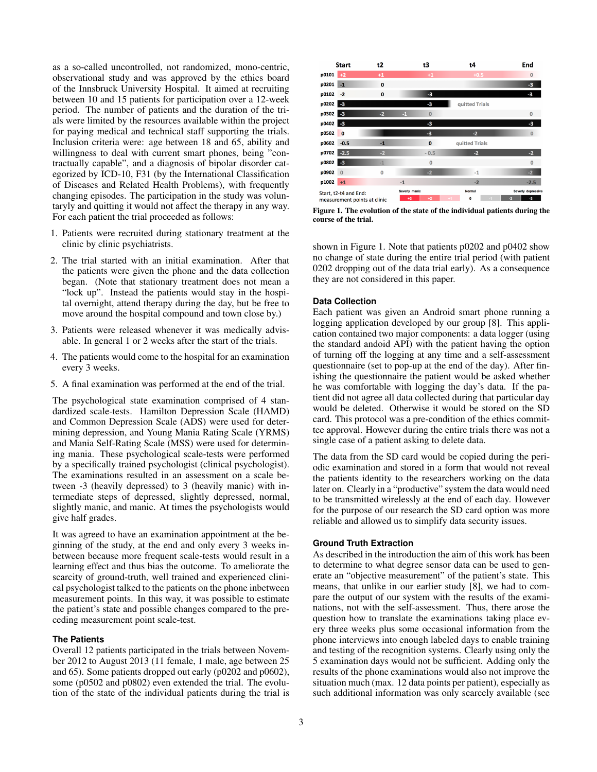as a so-called uncontrolled, not randomized, mono-centric, observational study and was approved by the ethics board of the Innsbruck University Hospital. It aimed at recruiting between 10 and 15 patients for participation over a 12-week period. The number of patients and the duration of the trials were limited by the resources available within the project for paying medical and technical staff supporting the trials. Inclusion criteria were: age between 18 and 65, ability and willingness to deal with current smart phones, being "contractually capable", and a diagnosis of bipolar disorder categorized by ICD-10, F31 (by the International Classification of Diseases and Related Health Problems), with frequently changing episodes. The participation in the study was voluntaryly and quitting it would not affect the therapy in any way. For each patient the trial proceeded as follows:

- 1. Patients were recruited during stationary treatment at the clinic by clinic psychiatrists.
- 2. The trial started with an initial examination. After that the patients were given the phone and the data collection began. (Note that stationary treatment does not mean a "lock up". Instead the patients would stay in the hospital overnight, attend therapy during the day, but be free to move around the hospital compound and town close by.)
- 3. Patients were released whenever it was medically advisable. In general 1 or 2 weeks after the start of the trials.
- 4. The patients would come to the hospital for an examination every 3 weeks.
- 5. A final examination was performed at the end of the trial.

The psychological state examination comprised of 4 standardized scale-tests. Hamilton Depression Scale (HAMD) and Common Depression Scale (ADS) were used for determining depression, and Young Mania Rating Scale (YRMS) and Mania Self-Rating Scale (MSS) were used for determining mania. These psychological scale-tests were performed by a specifically trained psychologist (clinical psychologist). The examinations resulted in an assessment on a scale between -3 (heavily depressed) to 3 (heavily manic) with intermediate steps of depressed, slightly depressed, normal, slightly manic, and manic. At times the psychologists would give half grades.

It was agreed to have an examination appointment at the beginning of the study, at the end and only every 3 weeks inbetween because more frequent scale-tests would result in a learning effect and thus bias the outcome. To ameliorate the scarcity of ground-truth, well trained and experienced clinical psychologist talked to the patients on the phone inbetween measurement points. In this way, it was possible to estimate the patient's state and possible changes compared to the preceding measurement point scale-test.

## **The Patients**

Overall 12 patients participated in the trials between November 2012 to August 2013 (11 female, 1 male, age between 25 and 65). Some patients dropped out early (p0202 and p0602), some (p0502 and p0802) even extended the trial. The evolution of the state of the individual patients during the trial is



<span id="page-2-0"></span>Figure 1. The evolution of the state of the individual patients during the course of the trial.

shown in Figure [1.](#page-2-0) Note that patients p0202 and p0402 show no change of state during the entire trial period (with patient 0202 dropping out of the data trial early). As a consequence they are not considered in this paper.

# **Data Collection**

Each patient was given an Android smart phone running a logging application developed by our group [\[8\]](#page-7-18). This application contained two major components: a data logger (using the standard andoid API) with the patient having the option of turning off the logging at any time and a self-assessment questionnaire (set to pop-up at the end of the day). After finishing the questionnaire the patient would be asked whether he was comfortable with logging the day's data. If the patient did not agree all data collected during that particular day would be deleted. Otherwise it would be stored on the SD card. This protocol was a pre-condition of the ethics committee approval. However during the entire trials there was not a single case of a patient asking to delete data.

The data from the SD card would be copied during the periodic examination and stored in a form that would not reveal the patients identity to the researchers working on the data later on. Clearly in a "productive" system the data would need to be transmitted wirelessly at the end of each day. However for the purpose of our research the SD card option was more reliable and allowed us to simplify data security issues.

#### **Ground Truth Extraction**

As described in the introduction the aim of this work has been to determine to what degree sensor data can be used to generate an "objective measurement" of the patient's state. This means, that unlike in our earlier study [\[8\]](#page-7-18), we had to compare the output of our system with the results of the examinations, not with the self-assessment. Thus, there arose the question how to translate the examinations taking place every three weeks plus some occasional information from the phone interviews into enough labeled days to enable training and testing of the recognition systems. Clearly using only the 5 examination days would not be sufficient. Adding only the results of the phone examinations would also not improve the situation much (max. 12 data points per patient), especially as such additional information was only scarcely available (see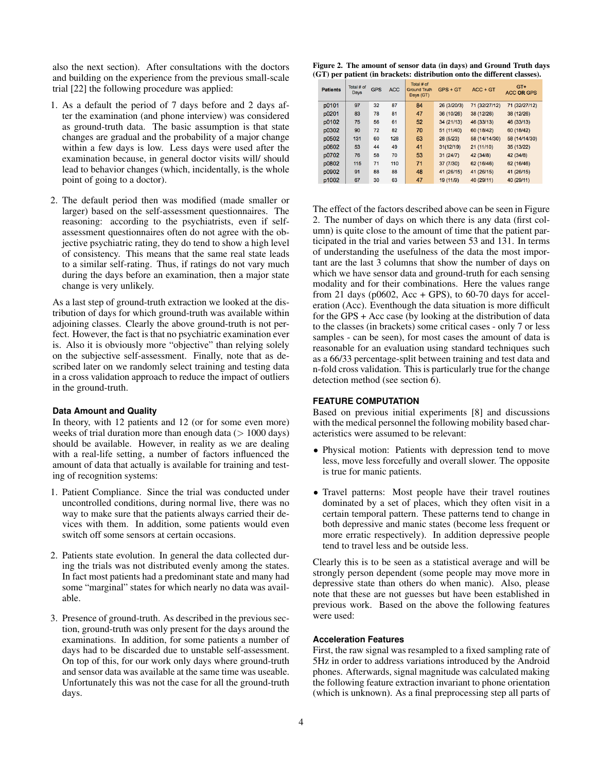also the next section). After consultations with the doctors and building on the experience from the previous small-scale trial [22] the following procedure was applied:

- 1. As a default the period of 7 days before and 2 days after the examination (and phone interview) was considered as ground-truth data. The basic assumption is that state changes are gradual and the probability of a major change within a few days is low. Less days were used after the examination because, in general doctor visits will/ should lead to behavior changes (which, incidentally, is the whole point of going to a doctor).
- 2. The default period then was modified (made smaller or larger) based on the self-assessment questionnaires. The reasoning: according to the psychiatrists, even if selfassessment questionnaires often do not agree with the objective psychiatric rating, they do tend to show a high level of consistency. This means that the same real state leads to a similar self-rating. Thus, if ratings do not vary much during the days before an examination, then a major state change is very unlikely.

As a last step of ground-truth extraction we looked at the distribution of days for which ground-truth was available within adjoining classes. Clearly the above ground-truth is not perfect. However, the fact is that no psychiatric examination ever is. Also it is obviously more "objective" than relying solely on the subjective self-assessment. Finally, note that as described later on we randomly select training and testing data in a cross validation approach to reduce the impact of outliers in the ground-truth.

#### **Data Amount and Quality**

In theory, with 12 patients and 12 (or for some even more) weeks of trial duration more than enough data  $(> 1000 \text{ days})$ should be available. However, in reality as we are dealing with a real-life setting, a number of factors influenced the amount of data that actually is available for training and testing of recognition systems:

- 1. Patient Compliance. Since the trial was conducted under uncontrolled conditions, during normal live, there was no way to make sure that the patients always carried their devices with them. In addition, some patients would even switch off some sensors at certain occasions.
- 2. Patients state evolution. In general the data collected during the trials was not distributed evenly among the states. In fact most patients had a predominant state and many had some "marginal" states for which nearly no data was available.
- 3. Presence of ground-truth. As described in the previous section, ground-truth was only present for the days around the examinations. In addition, for some patients a number of days had to be discarded due to unstable self-assessment. On top of this, for our work only days where ground-truth and sensor data was available at the same time was useable. Unfortunately this was not the case for all the ground-truth days.

<span id="page-3-0"></span>Figure 2. The amount of sensor data (in days) and Ground Truth days (GT) per patient (in brackets: distribution onto the different classes).

| <b>Patients</b> | Total # of<br><b>GPS</b><br><b>ACC</b><br>Days |    | Total # of<br><b>Ground Truth</b><br>Days (GT) | $GPS + GT$ | $ACC + GT$  | $GT+$<br><b>ACC OR GPS</b> |               |
|-----------------|------------------------------------------------|----|------------------------------------------------|------------|-------------|----------------------------|---------------|
| p0101           | 97                                             | 32 | 87                                             | 84         | 26 (3/20/3) | 71 (32/27/12)              | 71 (32/27/12) |
| p0201           | 83                                             | 78 | 81                                             | 47         | 36 (10/26)  | 38 (12/26)                 | 38 (12/26)    |
| p0102           | 75                                             | 56 | 61                                             | 52         | 34 (21/13)  | 46 (33/13)                 | 46 (33/13)    |
| p0302           | 90                                             | 72 | 82                                             | 70         | 51 (11/40)  | 60 (18/42)                 | 60 (18/42)    |
| p0502           | 131                                            | 60 | 128                                            | 63         | 28 (5/23)   | 58 (14/14/30)              | 58 (14/14/30) |
| p0602           | 53                                             | 44 | 49                                             | 41         | 31(12/19)   | 21(11/10)                  | 35 (13/22)    |
| p0702           | 76                                             | 58 | 70                                             | 53         | 31(24/7)    | 42 (34/8)                  | 42 (34/8)     |
| p0802           | 115                                            | 71 | 110                                            | 71         | 37 (7/30)   | 62 (16/46)                 | 62 (16/46)    |
| p0902           | 91                                             | 88 | 88                                             | 48         | 41 (26/15)  | 41 (26/15)                 | 41 (26/15)    |
| p1002           | 67                                             | 30 | 63                                             | 47         | 19 (11/9)   | 40 (29/11)                 | 40 (29/11)    |

The effect of the factors described above can be seen in Figure [2.](#page-3-0) The number of days on which there is any data (first column) is quite close to the amount of time that the patient participated in the trial and varies between 53 and 131. In terms of understanding the usefulness of the data the most important are the last 3 columns that show the number of days on which we have sensor data and ground-truth for each sensing modality and for their combinations. Here the values range from 21 days ( $p0602$ , Acc + GPS), to 60-70 days for acceleration (Acc). Eventhough the data situation is more difficult for the GPS + Acc case (by looking at the distribution of data to the classes (in brackets) some critical cases - only 7 or less samples - can be seen), for most cases the amount of data is reasonable for an evaluation using standard techniques such as a 66/33 percentage-split between training and test data and n-fold cross validation. This is particularly true for the change detection method (see section 6).

## **FEATURE COMPUTATION**

Based on previous initial experiments [\[8\]](#page-7-18) and discussions with the medical personnel the following mobility based characteristics were assumed to be relevant:

- Physical motion: Patients with depression tend to move less, move less forcefully and overall slower. The opposite is true for manic patients.
- Travel patterns: Most people have their travel routines dominated by a set of places, which they often visit in a certain temporal pattern. These patterns tend to change in both depressive and manic states (become less frequent or more erratic respectively). In addition depressive people tend to travel less and be outside less.

Clearly this is to be seen as a statistical average and will be strongly person dependent (some people may move more in depressive state than others do when manic). Also, please note that these are not guesses but have been established in previous work. Based on the above the following features were used:

#### **Acceleration Features**

First, the raw signal was resampled to a fixed sampling rate of 5Hz in order to address variations introduced by the Android phones. Afterwards, signal magnitude was calculated making the following feature extraction invariant to phone orientation (which is unknown). As a final preprocessing step all parts of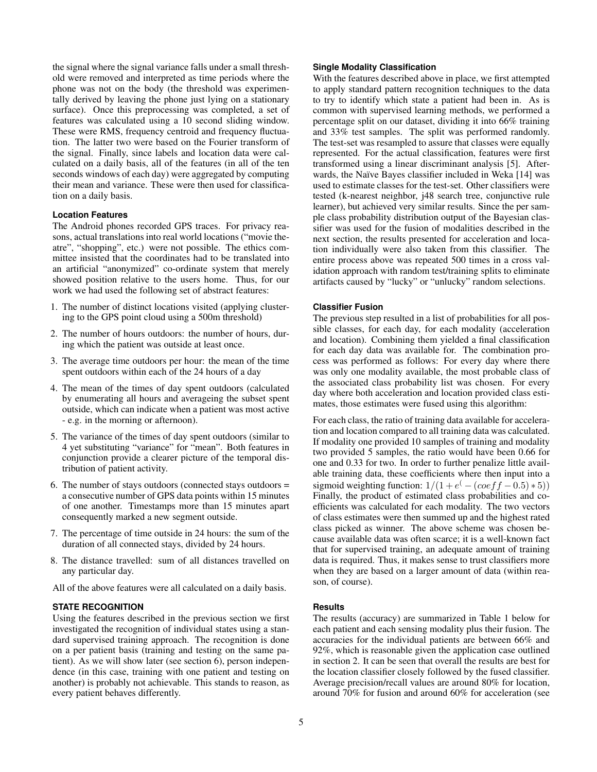the signal where the signal variance falls under a small threshold were removed and interpreted as time periods where the phone was not on the body (the threshold was experimentally derived by leaving the phone just lying on a stationary surface). Once this preprocessing was completed, a set of features was calculated using a 10 second sliding window. These were RMS, frequency centroid and frequency fluctuation. The latter two were based on the Fourier transform of the signal. Finally, since labels and location data were calculated on a daily basis, all of the features (in all of the ten seconds windows of each day) were aggregated by computing their mean and variance. These were then used for classification on a daily basis.

## **Location Features**

The Android phones recorded GPS traces. For privacy reasons, actual translations into real world locations ("movie theatre", "shopping", etc.) were not possible. The ethics committee insisted that the coordinates had to be translated into an artificial "anonymized" co-ordinate system that merely showed position relative to the users home. Thus, for our work we had used the following set of abstract features:

- 1. The number of distinct locations visited (applying clustering to the GPS point cloud using a 500m threshold)
- 2. The number of hours outdoors: the number of hours, during which the patient was outside at least once.
- 3. The average time outdoors per hour: the mean of the time spent outdoors within each of the 24 hours of a day
- 4. The mean of the times of day spent outdoors (calculated by enumerating all hours and averageing the subset spent outside, which can indicate when a patient was most active - e.g. in the morning or afternoon).
- 5. The variance of the times of day spent outdoors (similar to 4 yet substituting "variance" for "mean". Both features in conjunction provide a clearer picture of the temporal distribution of patient activity.
- 6. The number of stays outdoors (connected stays outdoors = a consecutive number of GPS data points within 15 minutes of one another. Timestamps more than 15 minutes apart consequently marked a new segment outside.
- 7. The percentage of time outside in 24 hours: the sum of the duration of all connected stays, divided by 24 hours.
- 8. The distance travelled: sum of all distances travelled on any particular day.

All of the above features were all calculated on a daily basis.

## **STATE RECOGNITION**

Using the features described in the previous section we first investigated the recognition of individual states using a standard supervised training approach. The recognition is done on a per patient basis (training and testing on the same patient). As we will show later (see section 6), person independence (in this case, training with one patient and testing on another) is probably not achievable. This stands to reason, as every patient behaves differently.

# **Single Modality Classification**

With the features described above in place, we first attempted to apply standard pattern recognition techniques to the data to try to identify which state a patient had been in. As is common with supervised learning methods, we performed a percentage split on our dataset, dividing it into 66% training and 33% test samples. The split was performed randomly. The test-set was resampled to assure that classes were equally represented. For the actual classification, features were first transformed using a linear discriminant analysis [\[5\]](#page-7-21). After-wards, the Naïve Bayes classifier included in Weka [\[14\]](#page-7-22) was used to estimate classes for the test-set. Other classifiers were tested (k-nearest neighbor, j48 search tree, conjunctive rule learner), but achieved very similar results. Since the per sample class probability distribution output of the Bayesian classifier was used for the fusion of modalities described in the next section, the results presented for acceleration and location individually were also taken from this classifier. The entire process above was repeated 500 times in a cross validation approach with random test/training splits to eliminate artifacts caused by "lucky" or "unlucky" random selections.

## **Classifier Fusion**

The previous step resulted in a list of probabilities for all possible classes, for each day, for each modality (acceleration and location). Combining them yielded a final classification for each day data was available for. The combination process was performed as follows: For every day where there was only one modality available, the most probable class of the associated class probability list was chosen. For every day where both acceleration and location provided class estimates, those estimates were fused using this algorithm:

For each class, the ratio of training data available for acceleration and location compared to all training data was calculated. If modality one provided 10 samples of training and modality two provided 5 samples, the ratio would have been 0.66 for one and 0.33 for two. In order to further penalize little available training data, these coefficients where then input into a sigmoid weighting function:  $1/(1+e^{\left(-\frac{(\cos f f - 0.5) * 5}{\sigma}\right)})$ Finally, the product of estimated class probabilities and coefficients was calculated for each modality. The two vectors of class estimates were then summed up and the highest rated class picked as winner. The above scheme was chosen because available data was often scarce; it is a well-known fact that for supervised training, an adequate amount of training data is required. Thus, it makes sense to trust classifiers more when they are based on a larger amount of data (within reason, of course).

# **Results**

The results (accuracy) are summarized in Table [1](#page-5-0) below for each patient and each sensing modality plus their fusion. The accuracies for the individual patients are between 66% and 92%, which is reasonable given the application case outlined in section 2. It can be seen that overall the results are best for the location classifier closely followed by the fused classifier. Average precision/recall values are around 80% for location, around 70% for fusion and around 60% for acceleration (see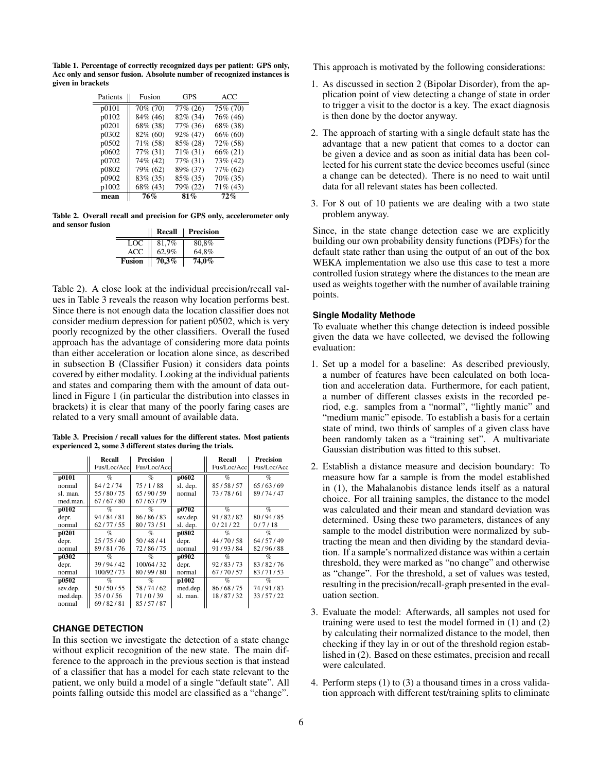<span id="page-5-0"></span>Table 1. Percentage of correctly recognized days per patient: GPS only, Acc only and sensor fusion. Absolute number of recognized instances is given in brackets

| Patients | Fusion      | GPS         | <b>ACC</b>  |
|----------|-------------|-------------|-------------|
| p0101    | 70% (70)    | 77% (26)    | 75% (70)    |
| p0102    | 84% (46)    | 82% (34)    | 76% (46)    |
| p0201    | 68% (38)    | 77% (36)    | 68% (38)    |
| p0302    | 82% (60)    | $92\%$ (47) | 66% (60)    |
| p0502    | $71\%$ (58) | 85% (28)    | 72% (58)    |
| p0602    | 77% (31)    | 71% (31)    | 66% (21)    |
| p0702    | 74% (42)    | 77% (31)    | 73% (42)    |
| p0802    | 79% (62)    | 89% (37)    | 77% (62)    |
| p0902    | 83% (35)    | 85% (35)    | 70% (35)    |
| p1002    | 68% (43)    | 79% (22)    | $71\%$ (43) |
| mean     | 76%         | 81%         | 72%         |

<span id="page-5-1"></span>Table 2. Overall recall and precision for GPS only, accelerometer only and sensor fusion

|               | Recall | Precision |
|---------------|--------|-----------|
| LOC           | 81,7%  | 80,8%     |
| <b>ACC</b>    | 62,9%  | 64,8%     |
| <b>Fusion</b> | 70,3%  | 74,0%     |

Table [2\)](#page-5-1). A close look at the individual precision/recall values in Table [3](#page-5-2) reveals the reason why location performs best. Since there is not enough data the location classifier does not consider medium depression for patient p0502, which is very poorly recognized by the other classifiers. Overall the fused approach has the advantage of considering more data points than either acceleration or location alone since, as described in subsection B (Classifier Fusion) it considers data points covered by either modality. Looking at the individual patients and states and comparing them with the amount of data outlined in Figure [1](#page-2-0) (in particular the distribution into classes in brackets) it is clear that many of the poorly faring cases are related to a very small amount of available data.

<span id="page-5-2"></span>Table 3. Precision / recall values for the different states. Most patients experienced 2, some 3 different states during the trials.

|                    | Recall       | <b>Precision</b> |          | Recall      | Precision   |
|--------------------|--------------|------------------|----------|-------------|-------------|
|                    | Fus/Loc/Accl | Fus/Loc/Accl     |          | Fus/Loc/Acc | Fus/Loc/Acc |
| p0101              | $\%$         | $\%$             | p0602    | $\%$        | $\%$        |
| normal             | 84/2/74      | 75/1/88          | sl. dep. | 85/58/57    | 65/63/69    |
| sl. man.           | 55/80/75     | 65/90/59         | normal   | 73/78/61    | 89/74/47    |
| med.man.           | 67/67/80     | 67/63/79         |          |             |             |
| p0102              | $\%$         | $\%$             | p0702    | $\%$        | $\%$        |
| depr.              | 94/84/81     | 86/86/83         | sev.dep. | 91/82/82    | 80/94/85    |
| normal             | 62/77/55     | 80/73/51         | sl. dep. | 0/21/22     | 0/7/18      |
| $\overline{p0201}$ | $\%$         | $\%$             | p0802    | $\%$        | $\%$        |
| depr.              | 25/75/40     | 50/48/41         | depr.    | 44/70/58    | 64/57/49    |
| normal             | 89/81/76     | 72/86/75         | normal   | 91/93/84    | 82/96/88    |
| p0302              | $\%$         | $\%$             | p0902    | $\%$        | $\%$        |
| depr.              | 39/94/42     | 100/64/32        | depr.    | 92/83/73    | 83/82/76    |
| normal             | 100/92/73    | 80/99/80         | normal   | 67/70/57    | 83/71/53    |
| p0502              | $\%$         | $\%$             | p1002    | $\%$        | $\%$        |
| sev.dep.           | 50/50/55     | 58/74/62         | med.dep. | 86/68/75    | 74/91/83    |
| med.dep.           | 35/0/56      | 71/0/39          | sl. man. | 18/87/32    | 33/57/22    |
| normal             | 69/82/81     | 85/57/87         |          |             |             |

# **CHANGE DETECTION**

In this section we investigate the detection of a state change without explicit recognition of the new state. The main difference to the approach in the previous section is that instead of a classifier that has a model for each state relevant to the patient, we only build a model of a single "default state". All points falling outside this model are classified as a "change". This approach is motivated by the following considerations:

- 1. As discussed in section 2 (Bipolar Disorder), from the application point of view detecting a change of state in order to trigger a visit to the doctor is a key. The exact diagnosis is then done by the doctor anyway.
- 2. The approach of starting with a single default state has the advantage that a new patient that comes to a doctor can be given a device and as soon as initial data has been collected for his current state the device becomes useful (since a change can be detected). There is no need to wait until data for all relevant states has been collected.
- 3. For 8 out of 10 patients we are dealing with a two state problem anyway.

Since, in the state change detection case we are explicitly building our own probability density functions (PDFs) for the default state rather than using the output of an out of the box WEKA implementation we also use this case to test a more controlled fusion strategy where the distances to the mean are used as weights together with the number of available training points.

## **Single Modality Methode**

To evaluate whether this change detection is indeed possible given the data we have collected, we devised the following evaluation:

- 1. Set up a model for a baseline: As described previously, a number of features have been calculated on both location and acceleration data. Furthermore, for each patient, a number of different classes exists in the recorded period, e.g. samples from a "normal", "lightly manic" and "medium manic" episode. To establish a basis for a certain state of mind, two thirds of samples of a given class have been randomly taken as a "training set". A multivariate Gaussian distribution was fitted to this subset.
- 2. Establish a distance measure and decision boundary: To measure how far a sample is from the model established in (1), the Mahalanobis distance lends itself as a natural choice. For all training samples, the distance to the model was calculated and their mean and standard deviation was determined. Using these two parameters, distances of any sample to the model distribution were normalized by subtracting the mean and then dividing by the standard deviation. If a sample's normalized distance was within a certain threshold, they were marked as "no change" and otherwise as "change". For the threshold, a set of values was tested, resulting in the precision/recall-graph presented in the evaluation section.
- 3. Evaluate the model: Afterwards, all samples not used for training were used to test the model formed in (1) and (2) by calculating their normalized distance to the model, then checking if they lay in or out of the threshold region established in (2). Based on these estimates, precision and recall were calculated.
- 4. Perform steps (1) to (3) a thousand times in a cross validation approach with different test/training splits to eliminate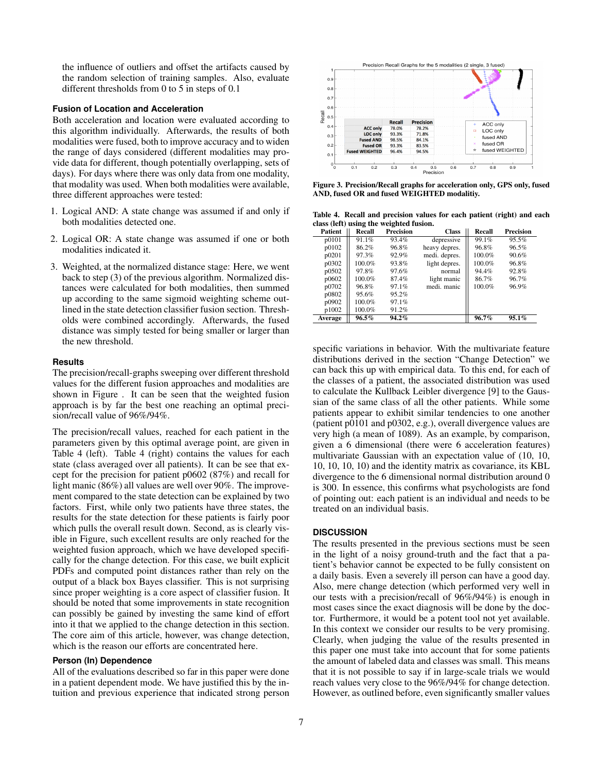the influence of outliers and offset the artifacts caused by the random selection of training samples. Also, evaluate different thresholds from 0 to 5 in steps of 0.1

## **Fusion of Location and Acceleration**

Both acceleration and location were evaluated according to this algorithm individually. Afterwards, the results of both modalities were fused, both to improve accuracy and to widen the range of days considered (different modalities may provide data for different, though potentially overlapping, sets of days). For days where there was only data from one modality, that modality was used. When both modalities were available, three different approaches were tested:

- 1. Logical AND: A state change was assumed if and only if both modalities detected one.
- 2. Logical OR: A state change was assumed if one or both modalities indicated it.
- 3. Weighted, at the normalized distance stage: Here, we went back to step (3) of the previous algorithm. Normalized distances were calculated for both modalities, then summed up according to the same sigmoid weighting scheme outlined in the state detection classifier fusion section. Thresholds were combined accordingly. Afterwards, the fused distance was simply tested for being smaller or larger than the new threshold.

#### **Results**

The precision/recall-graphs sweeping over different threshold values for the different fusion approaches and modalities are shown in Figure [.](#page-6-0) It can be seen that the weighted fusion approach is by far the best one reaching an optimal precision/recall value of 96%/94%.

The precision/recall values, reached for each patient in the parameters given by this optimal average point, are given in Table [4](#page-6-1) (left). Table [4](#page-6-1) (right) contains the values for each state (class averaged over all patients). It can be see that except for the precision for patient p0602 (87%) and recall for light manic (86%) all values are well over 90%. The improvement compared to the state detection can be explained by two factors. First, while only two patients have three states, the results for the state detection for these patients is fairly poor which pulls the overall result down. Second, as is clearly visible in Figur[e,](#page-6-0) such excellent results are only reached for the weighted fusion approach, which we have developed specifically for the change detection. For this case, we built explicit PDFs and computed point distances rather than rely on the output of a black box Bayes classifier. This is not surprising since proper weighting is a core aspect of classifier fusion. It should be noted that some improvements in state recognition can possibly be gained by investing the same kind of effort into it that we applied to the change detection in this section. The core aim of this article, however, was change detection, which is the reason our efforts are concentrated here.

## **Person (In) Dependence**

All of the evaluations described so far in this paper were done in a patient dependent mode. We have justified this by the intuition and previous experience that indicated strong person



<span id="page-6-0"></span>Figure 3. Precision/Recall graphs for acceleration only, GPS only, fused AND, fused OR and fused WEIGHTED modalitiy.

<span id="page-6-1"></span>Table 4. Recall and precision values for each patient (right) and each class (left) using the weighted fusion.

| <b>Patient</b> | Recall   | <b>Precision</b> | <b>Class</b>  | Recall | <b>Precision</b> |
|----------------|----------|------------------|---------------|--------|------------------|
| p0101          | 91.1%    | 93.4%            | depressive    | 99.1%  | 95.5%            |
| p0102          | 86.2%    | 96.8%            | heavy depres. | 96.8%  | 96.5%            |
| p0201          | 97.3%    | 92.9%            | medi. depres. | 100.0% | 90.6%            |
| p0302          | 100.0%   | 93.8%            | light depres. | 100.0% | 96.8%            |
| p0502          | 97.8%    | 97.6%            | normal        | 94.4%  | 92.8%            |
| p0602          | 100.0%   | 87.4%            | light manic   | 86.7%  | 96.7%            |
| p0702          | 96.8%    | 97.1%            | medi. manic   | 100.0% | 96.9%            |
| p0802          | 95.6%    | 95.2%            |               |        |                  |
| p0902          | 100.0%   | 97.1%            |               |        |                  |
| p1002          | 100.0%   | 91.2%            |               |        |                  |
| Average        | $96.5\%$ | $94.2\%$         |               | 96.7%  | $95.1\%$         |

specific variations in behavior. With the multivariate feature distributions derived in the section "Change Detection" we can back this up with empirical data. To this end, for each of the classes of a patient, the associated distribution was used to calculate the Kullback Leibler divergence [\[9\]](#page-7-23) to the Gaussian of the same class of all the other patients. While some patients appear to exhibit similar tendencies to one another (patient p0101 and p0302, e.g.), overall divergence values are very high (a mean of 1089). As an example, by comparison, given a 6 dimensional (there were 6 acceleration features) multivariate Gaussian with an expectation value of (10, 10, 10, 10, 10, 10) and the identity matrix as covariance, its KBL divergence to the 6 dimensional normal distribution around 0 is 300. In essence, this confirms what psychologists are fond of pointing out: each patient is an individual and needs to be treated on an individual basis.

### **DISCUSSION**

The results presented in the previous sections must be seen in the light of a noisy ground-truth and the fact that a patient's behavior cannot be expected to be fully consistent on a daily basis. Even a severely ill person can have a good day. Also, mere change detection (which performed very well in our tests with a precision/recall of 96%/94%) is enough in most cases since the exact diagnosis will be done by the doctor. Furthermore, it would be a potent tool not yet available. In this context we consider our results to be very promising. Clearly, when judging the value of the results presented in this paper one must take into account that for some patients the amount of labeled data and classes was small. This means that it is not possible to say if in large-scale trials we would reach values very close to the 96%/94% for change detection. However, as outlined before, even significantly smaller values